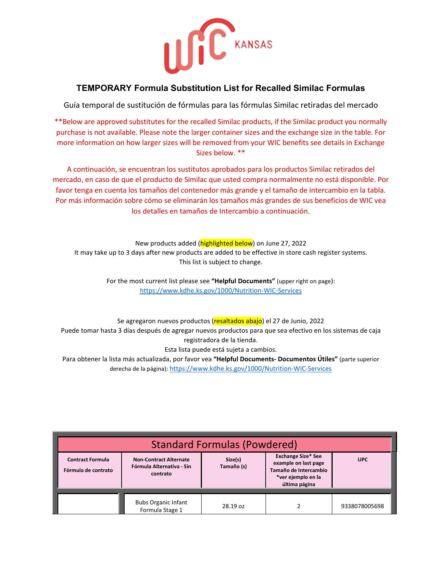

## **TEMPORARY Formula Substitution List for Recalled Similac Formulas**

Guía temporal de sustitución de fórmulas para las fórmulas Similac retiradas del mercado

\*\*Below are approved substitutes for the recalled Similac products, if the Similac product you normally purchase is not available. Please note the larger container sizes and the exchange size in the table. For more information on how larger sizes will be removed from your WIC benefits see details in Exchange Sizes below. \*\*

A continuación, se encuentran los sustitutos aprobados para los productos Similac retirados del mercado, en caso de que el producto de Similac que usted compra normalmente no está disponible. Por favor tenga en cuenta los tamaños del contenedor más grande y el tamaño de intercambio en la tabla. Por más información sobre cómo se eliminarán los tamaños más grandes de sus beneficios de WIC vea los detalles en tamaños de Intercambio a continuación.

New products added (*highlighted below*) on June 27, 2022 It may take up to 3 days after new products are added to be effective in store cash register systems. This list is subject to change.

> For the most current list please see **"Helpful Documents"** (upper right on page): [https://www.kdhe.ks.gov/1000/Nutrition-WIC-Services](https://gcc02.safelinks.protection.outlook.com/?url=https%3A%2F%2Fwww.kdhe.ks.gov%2F1000%2FNutrition-WIC-Services&data=05%7C01%7CBethany.Hirsh%40ks.gov%7Cafbbaaaa2d4a4cdcdbb508da3a9417f6%7Cdcae8101c92d480cbc43c6761ccccc5a%7C0%7C0%7C637886704973858559%7CUnknown%7CTWFpbGZsb3d8eyJWIjoiMC4wLjAwMDAiLCJQIjoiV2luMzIiLCJBTiI6Ik1haWwiLCJXVCI6Mn0%3D%7C3000%7C%7C%7C&sdata=lxaFzGDhXVkLwz7NM0ZX%2Bx3o2teoR36SPIQdyuXPz9Q%3D&reserved=0)

Se agregaron nuevos productos (resaltados abajo) el 27 de Junio, 2022 [Puede tomar hasta](https://tr-ex.me/translation/spanish-english/podr%C3%ADa+tomar+hasta) 3 días después de agregar nuevos productos para que sea efectivo en los sistemas de caja registradora de la tienda. Esta lista puede está sujeta a cambios.

Para obtener la lista más actualizada, por favor vea **"Helpful Documents- Documentos Útiles"** (parte superior derecha de la página): <https://www.kdhe.ks.gov/1000/Nutrition-WIC-Services>

| <b>Standard Formulas (Powdered)</b>            |                                                                        |          |                                                                                                                   |               |  |  |
|------------------------------------------------|------------------------------------------------------------------------|----------|-------------------------------------------------------------------------------------------------------------------|---------------|--|--|
| <b>Contract Formula</b><br>Fórmula de contrato | <b>Non-Contract Alternate</b><br>Fórmula Alternativa - Sin<br>contrato |          | <b>Exchange Size* See</b><br>example on last page<br>Tamaño de Intercambio<br>*ver ejemplo en la<br>última página | <b>UPC</b>    |  |  |
|                                                | <b>Bubs Organic Infant</b><br>Formula Stage 1                          | 28.19 oz |                                                                                                                   | 9338078005698 |  |  |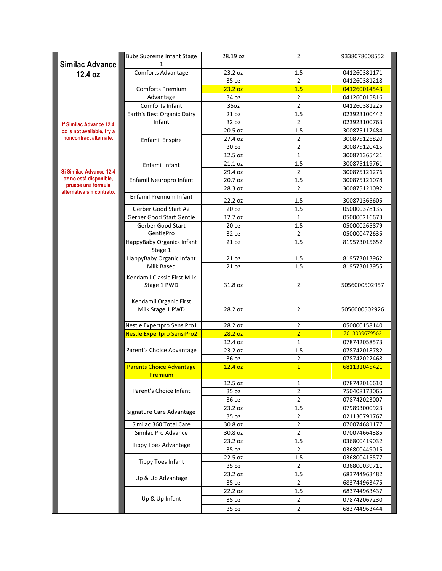| <b>Similac Advance</b>                                       | <b>Bubs Supreme Infant Stage</b>  | 28.19 oz         | $\overline{2}$ | 9338078008552 |  |
|--------------------------------------------------------------|-----------------------------------|------------------|----------------|---------------|--|
|                                                              | Comforts Advantage                | 23.2 oz          | 1.5            | 041260381171  |  |
| 12.4 oz                                                      |                                   | 35 oz            | $\overline{2}$ | 041260381218  |  |
|                                                              | Comforts Premium                  | 23.2 oz          | 1.5            | 041260014543  |  |
|                                                              | Advantage                         | 34 oz            | $\overline{2}$ | 041260015816  |  |
|                                                              | Comforts Infant                   | 35oz             | $\overline{2}$ | 041260381225  |  |
|                                                              | Earth's Best Organic Dairy        | 21 oz            | $1.5\,$        | 023923100442  |  |
|                                                              | Infant                            | 32 oz            | $\overline{2}$ | 023923100763  |  |
| <b>If Similac Advance 12.4</b><br>oz is not available, try a |                                   | 20.5 oz          | 1.5            | 300875117484  |  |
| noncontract alternate.                                       | <b>Enfamil Enspire</b>            | 27.4 oz          | $\overline{2}$ | 300875126820  |  |
|                                                              |                                   | 30 oz            | $\overline{2}$ | 300875120415  |  |
|                                                              |                                   | 12.5 oz          | $\mathbf{1}$   | 300871365421  |  |
|                                                              | Enfamil Infant                    | 21.1 oz          | 1.5            | 300875119761  |  |
| Si Similac Advance 12.4                                      |                                   | 29.4 oz          | $\overline{2}$ | 300875121276  |  |
| oz no está disponible,                                       | Enfamil Neuropro Infant           | 20.7 oz          | 1.5            | 300875121078  |  |
| pruebe una fórmula<br>alternativa sin contrato.              |                                   | 28.3 oz          | $\overline{2}$ | 300875121092  |  |
|                                                              | <b>Enfamil Premium Infant</b>     | 22.2 oz          | $1.5\,$        | 300871365605  |  |
|                                                              | Gerber Good Start A2              | 20 oz            | 1.5            | 050000378135  |  |
|                                                              | Gerber Good Start Gentle          | 12.7 oz          | 1              | 050000216673  |  |
|                                                              | Gerber Good Start                 | 20 oz            | 1.5            | 050000265879  |  |
|                                                              | GentlePro                         | 32 oz            | $\overline{2}$ | 050000472635  |  |
|                                                              | HappyBaby Organics Infant         | 21 oz            | 1.5            | 819573015652  |  |
|                                                              | Stage 1                           |                  |                |               |  |
|                                                              | HappyBaby Organic Infant          | 21 oz            | 1.5            | 819573013962  |  |
|                                                              | Milk Based                        | 21 oz            | 1.5            | 819573013955  |  |
|                                                              | Kendamil Classic First Milk       |                  |                |               |  |
|                                                              | Stage 1 PWD                       | 31.8 oz          | $\overline{2}$ | 5056000502957 |  |
|                                                              |                                   |                  |                |               |  |
|                                                              | Kendamil Organic First            |                  |                |               |  |
|                                                              | Milk Stage 1 PWD                  | 28.2 oz          | $\overline{2}$ | 5056000502926 |  |
|                                                              | Nestle Expertpro SensiPro1        | 28.2 oz          | $\overline{2}$ | 050000158140  |  |
|                                                              | <b>Nestle Expertpro SensiPro2</b> | 28.2 oz          | $\overline{2}$ | 7613039679562 |  |
|                                                              |                                   | 12.4 oz          | $\mathbf{1}$   | 078742058573  |  |
|                                                              | Parent's Choice Advantage         | 23.2 oz          | 1.5            | 078742018782  |  |
|                                                              |                                   | 36 oz            | $\overline{2}$ | 078742022468  |  |
|                                                              | <b>Parents Choice Advantage</b>   | 12.4 oz          | $\overline{1}$ | 681131045421  |  |
|                                                              | <b>Premium</b>                    |                  |                | 078742016610  |  |
|                                                              | Parent's Choice Infant            | 12.5 oz<br>35 oz | 1<br>2         | 750408173065  |  |
|                                                              |                                   | 36 oz            | $\overline{2}$ | 078742023007  |  |
|                                                              |                                   | 23.2 oz          | 1.5            | 079893000923  |  |
|                                                              | Signature Care Advantage          | 35 oz            | $\overline{2}$ | 021130791767  |  |
|                                                              | Similac 360 Total Care            | 30.8 oz          | 2              | 070074681177  |  |
|                                                              | Similac Pro Advance               | 30.8 oz          | $\overline{2}$ | 070074664385  |  |
|                                                              |                                   | 23.2 oz          | 1.5            | 036800419032  |  |
|                                                              | <b>Tippy Toes Advantage</b>       | 35 oz            | $\overline{2}$ | 036800449015  |  |
|                                                              |                                   | 22.5 oz          | 1.5            | 036800415577  |  |
|                                                              | <b>Tippy Toes Infant</b>          | 35 oz            | $\overline{2}$ | 036800039711  |  |
|                                                              |                                   | 23.2 oz          | 1.5            | 683744963482  |  |
|                                                              | Up & Up Advantage                 | 35 oz            | $\overline{2}$ | 683744963475  |  |
|                                                              | Up & Up Infant                    | 22.2 oz          | 1.5            | 683744963437  |  |
|                                                              |                                   | 35 oz            | $\overline{2}$ | 078742067230  |  |
|                                                              |                                   | 35 oz            | $\overline{2}$ | 683744963444  |  |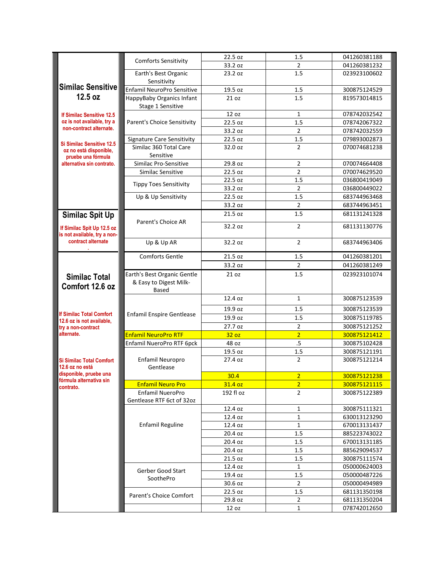|                                                                                  | <b>Comforts Sensitivity</b>                           | 22.5 oz   | 1.5            | 041260381188 |  |
|----------------------------------------------------------------------------------|-------------------------------------------------------|-----------|----------------|--------------|--|
|                                                                                  |                                                       | 33.2 oz   | 2              | 041260381232 |  |
|                                                                                  | Earth's Best Organic<br>Sensitivity                   | 23.2 oz   | 1.5            | 023923100602 |  |
| <b>Similac Sensitive</b>                                                         | Enfamil NeuroPro Sensitive                            | 19.5 oz   | 1.5            | 300875124529 |  |
| 12.5 oz                                                                          | HappyBaby Organics Infant<br>Stage 1 Sensitive        | 21 oz     | 1.5            | 819573014815 |  |
| <b>If Similac Sensitive 12.5</b>                                                 |                                                       | 12 oz     | $\mathbf{1}$   | 078742032542 |  |
| oz is not available, try a                                                       | Parent's Choice Sensitivity                           | 22.5 oz   | 1.5            | 078742067322 |  |
| non-contract alternate.                                                          |                                                       | 33.2 oz   | $\overline{2}$ | 078742032559 |  |
|                                                                                  | <b>Signature Care Sensitivity</b>                     | 22.5 oz   | 1.5            | 079893002873 |  |
| <b>Si Similac Sensitive 12.5</b><br>oz no está disponible.<br>pruebe una fórmula | Similac 360 Total Care<br>Sensitive                   | 32.0 oz   | $\overline{2}$ | 070074681238 |  |
| alternativa sin contrato.                                                        | Similac Pro-Sensitive                                 | 29.8 oz   | $\overline{2}$ | 070074664408 |  |
|                                                                                  | Similac Sensitive                                     | 22.5 oz   | $\overline{2}$ | 070074629520 |  |
|                                                                                  |                                                       | 22.5 oz   | 1.5            | 036800419049 |  |
|                                                                                  | <b>Tippy Toes Sensitivity</b>                         | 33.2 oz   | $\overline{2}$ | 036800449022 |  |
|                                                                                  | Up & Up Sensitivity                                   | 22.5 oz   | 1.5            | 683744963468 |  |
|                                                                                  |                                                       | 33.2 oz   | $\overline{2}$ | 683744963451 |  |
| <b>Similac Spit Up</b>                                                           |                                                       | 21.5 oz   | 1.5            | 681131241328 |  |
| If Similac Spit Up 12.5 oz<br>is not available, try a non-                       | Parent's Choice AR                                    | 32.2 oz   | $\overline{2}$ | 681131130776 |  |
| contract alternate                                                               | Up & Up AR                                            | 32.2 oz   | $\overline{2}$ | 683744963406 |  |
|                                                                                  | <b>Comforts Gentle</b>                                | 21.5 oz   | 1.5            | 041260381201 |  |
|                                                                                  |                                                       | 33.2 oz   | $\overline{2}$ | 041260381249 |  |
| <b>Similac Total</b><br>Comfort 12.6 oz                                          | Earth's Best Organic Gentle<br>& Easy to Digest Milk- | 21 oz     | 1.5            | 023923101074 |  |
|                                                                                  | <b>Based</b>                                          |           |                |              |  |
|                                                                                  |                                                       | 12.4 oz   | $\mathbf{1}$   | 300875123539 |  |
| <b>If Similac Total Comfort</b>                                                  | <b>Enfamil Enspire Gentlease</b>                      | 19.9 oz   | 1.5            | 300875123539 |  |
| 12.6 oz is not available,                                                        |                                                       | 19.9 oz   | 1.5            | 300875119785 |  |
| try a non-contract                                                               |                                                       | 27.7 oz   | $\overline{2}$ | 300875121252 |  |
| alternate.                                                                       | <b>Enfamil NeuroPro RTF</b>                           | 32 oz     | $\overline{2}$ | 300875121412 |  |
|                                                                                  | Enfamil NueroPro RTF 6pck                             | 48 oz     | .5             | 300875102428 |  |
|                                                                                  |                                                       | 19.5 oz   | 1.5            | 300875121191 |  |
| <b>Si Similac Total Comfort</b><br>12.6 oz no está                               | Enfamil Neuropro<br>Gentlease                         | 27.4 oz   | $\overline{2}$ | 300875121214 |  |
| disponible, pruebe una<br>fórmula alternativa sin                                |                                                       | 30.4      | <u>2</u>       | 300875121238 |  |
| contrato.                                                                        | <b>Enfamil Neuro Pro</b>                              | 31.4 oz   | $\overline{2}$ | 300875121115 |  |
|                                                                                  | Enfamil NueroPro<br>Gentlease RTF 6ct of 32oz         | 192 fl oz | $\overline{2}$ | 300875122389 |  |
|                                                                                  |                                                       | 12.4 oz   | 1              | 300875111321 |  |
|                                                                                  |                                                       | 12.4 oz   | $\mathbf{1}$   | 630013123290 |  |
|                                                                                  | <b>Enfamil Reguline</b>                               | 12.4 oz   | $\mathbf{1}$   | 670013131437 |  |
|                                                                                  |                                                       | 20.4 oz   | 1.5            | 885223743022 |  |
|                                                                                  |                                                       | 20.4 oz   | 1.5            | 670013131185 |  |
|                                                                                  |                                                       | 20.4 oz   | 1.5            | 885629094537 |  |
|                                                                                  |                                                       | 21.5 oz   | 1.5            | 300875111574 |  |
|                                                                                  | Gerber Good Start                                     | 12.4 oz   | $\mathbf{1}$   | 050000624003 |  |
|                                                                                  | SoothePro                                             | 19.4 oz   | 1.5            | 050000487226 |  |
|                                                                                  |                                                       | 30.6 oz   | $\overline{2}$ | 050000494989 |  |
|                                                                                  | Parent's Choice Comfort                               | 22.5 oz   | 1.5            | 681131350198 |  |
|                                                                                  |                                                       | 29.8 oz   | $\overline{2}$ | 681131350204 |  |
|                                                                                  |                                                       | 12 oz     | 1              | 078742012650 |  |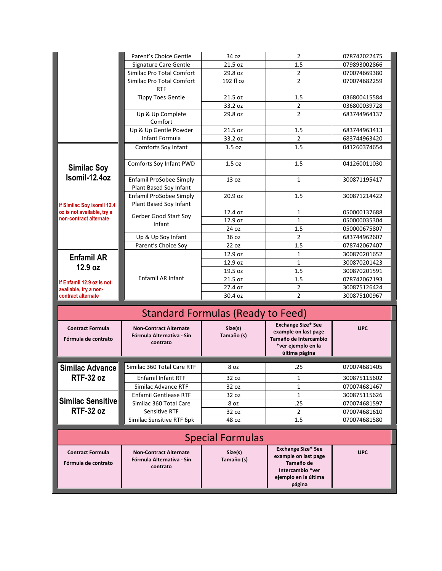|                                                                                                                          | Parent's Choice Gentle                                                 | 34 oz                                    | $\overline{2}$                                                                                                       | 078742022475 |  |
|--------------------------------------------------------------------------------------------------------------------------|------------------------------------------------------------------------|------------------------------------------|----------------------------------------------------------------------------------------------------------------------|--------------|--|
|                                                                                                                          | Signature Care Gentle                                                  | 21.5 oz                                  | 1.5                                                                                                                  | 079893002866 |  |
|                                                                                                                          | Similac Pro Total Comfort                                              | 29.8 oz                                  | $\mathbf 2$                                                                                                          | 070074669380 |  |
|                                                                                                                          | Similac Pro Total Comfort<br><b>RTF</b>                                | 192 fl oz                                | $\overline{2}$                                                                                                       | 070074682259 |  |
|                                                                                                                          | <b>Tippy Toes Gentle</b>                                               | 21.5 oz                                  | 1.5                                                                                                                  | 036800415584 |  |
|                                                                                                                          |                                                                        | 33.2 oz                                  | $\overline{2}$                                                                                                       | 036800039728 |  |
|                                                                                                                          | Up & Up Complete<br>Comfort                                            | 29.8 oz                                  | $\overline{2}$                                                                                                       | 683744964137 |  |
|                                                                                                                          | Up & Up Gentle Powder                                                  | 21.5 oz                                  | 1.5                                                                                                                  | 683744963413 |  |
|                                                                                                                          | Infant Formula                                                         | 33.2 oz                                  | $\overline{2}$                                                                                                       | 683744963420 |  |
|                                                                                                                          | Comforts Soy Infant                                                    | 1.5 <sub>oz</sub>                        | 1.5                                                                                                                  | 041260374654 |  |
| <b>Similac Soy</b>                                                                                                       | Comforts Soy Infant PWD                                                | 1.5 <sub>oz</sub>                        | 1.5                                                                                                                  | 041260011030 |  |
| Isomil-12.4oz                                                                                                            | Enfamil ProSobee Simply<br>Plant Based Soy Infant                      | 13 oz                                    | $\mathbf{1}$                                                                                                         | 300871195417 |  |
| If Similac Soy Isomil 12.4                                                                                               | Enfamil ProSobee Simply<br>Plant Based Soy Infant                      | 20.9 oz                                  | 1.5                                                                                                                  | 300871214422 |  |
| oz is not available, try a                                                                                               | Gerber Good Start Soy                                                  | 12.4 oz                                  | $\mathbf{1}$                                                                                                         | 050000137688 |  |
| non-contract alternate                                                                                                   | Infant                                                                 | 12.9 oz                                  | $\mathbf{1}$                                                                                                         | 050000035304 |  |
|                                                                                                                          |                                                                        | 24 oz                                    | 1.5                                                                                                                  | 050000675807 |  |
|                                                                                                                          | Up & Up Soy Infant                                                     | 36 oz                                    | $\overline{2}$                                                                                                       | 683744962607 |  |
|                                                                                                                          | Parent's Choice Soy                                                    | 22 oz                                    | 1.5                                                                                                                  | 078742067407 |  |
| <b>Enfamil AR</b>                                                                                                        | Enfamil AR Infant                                                      | 12.9 oz                                  | $\mathbf{1}$                                                                                                         | 300870201652 |  |
|                                                                                                                          |                                                                        | 12.9 oz                                  | $\mathbf{1}$                                                                                                         | 300870201423 |  |
| 12.9 oz                                                                                                                  |                                                                        | 19.5 oz                                  | 1.5                                                                                                                  | 300870201591 |  |
| If Enfamil 12.9 oz is not                                                                                                |                                                                        | 21.5 oz                                  | 1.5                                                                                                                  | 078742067193 |  |
| available, try a non-                                                                                                    |                                                                        | 27.4 oz                                  | $\overline{2}$                                                                                                       | 300875126424 |  |
| contract alternate                                                                                                       |                                                                        | 30.4 oz                                  | $\overline{2}$                                                                                                       | 300875100967 |  |
|                                                                                                                          |                                                                        |                                          |                                                                                                                      |              |  |
|                                                                                                                          |                                                                        | <b>Standard Formulas (Ready to Feed)</b> |                                                                                                                      |              |  |
| <b>Contract Formula</b><br><b>Non-Contract Alternate</b><br>Fórmula Alternativa - Sin<br>Fórmula de contrato<br>contrato |                                                                        | Size(s)<br>Tamaño (s)                    | <b>Exchange Size* See</b><br>example on last page<br>Tamaño de Intercambio<br>*ver ejemplo en la<br>última página    | <b>UPC</b>   |  |
| <b>Similac Advance</b>                                                                                                   | Similac 360 Total Care RTF                                             | 8 oz                                     | .25                                                                                                                  | 070074681405 |  |
| <b>RTF-32 oz</b>                                                                                                         | <b>Enfamil Infant RTF</b>                                              | 32 oz                                    | 1                                                                                                                    | 300875115602 |  |
|                                                                                                                          | Similac Advance RTF                                                    | 32 oz                                    | $\mathbf{1}$                                                                                                         | 070074681467 |  |
|                                                                                                                          | <b>Enfamil Gentlease RTF</b>                                           | 32 oz                                    | $\mathbf{1}$                                                                                                         | 300875115626 |  |
| <b>Similac Sensitive</b>                                                                                                 | Similac 360 Total Care                                                 | 8 oz                                     | .25                                                                                                                  | 070074681597 |  |
| <b>RTF-32 oz</b>                                                                                                         | Sensitive RTF                                                          | 32 oz                                    | $\overline{2}$                                                                                                       | 070074681610 |  |
|                                                                                                                          | Similac Sensitive RTF 6pk                                              | 48 oz                                    | 1.5                                                                                                                  | 070074681580 |  |
|                                                                                                                          |                                                                        |                                          |                                                                                                                      |              |  |
|                                                                                                                          |                                                                        | <b>Special Formulas</b>                  |                                                                                                                      |              |  |
| <b>Contract Formula</b><br>Fórmula de contrato                                                                           | <b>Non-Contract Alternate</b><br>Fórmula Alternativa - Sin<br>contrato | Size(s)<br>Tamaño (s)                    | <b>Exchange Size* See</b><br>example on last page<br>Tamaño de<br>Intercambio *ver<br>ejemplo en la última<br>página | <b>UPC</b>   |  |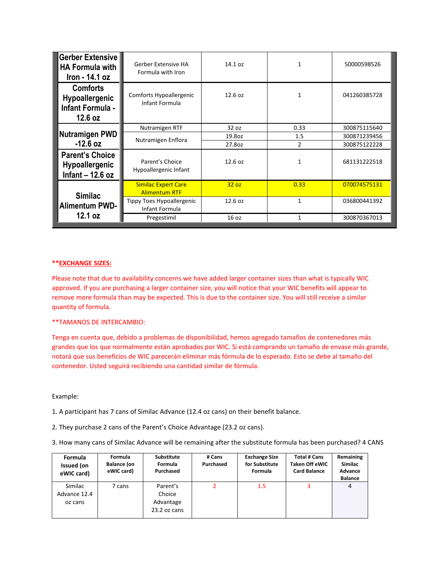| <b>Gerber Extensive</b><br><b>HA Formula with</b><br>Iron - 14.1 oz | Gerber Extensive HA<br>Formula with Iron           | 14.1 oz | 1            | 50000598526  |
|---------------------------------------------------------------------|----------------------------------------------------|---------|--------------|--------------|
| <b>Comforts</b><br>Hypoallergenic<br>Infant Formula -<br>12.6 oz    | Comforts Hypoallergenic<br>Infant Formula          | 12.6 oz | 1            | 041260385728 |
| Nutramigen PWD<br>$-12.6$ oz                                        | Nutramigen RTF                                     | 32 oz   | 0.33         | 300875115640 |
|                                                                     | Nutramigen Enflora                                 | 19.8oz  | 1.5          | 300871239456 |
|                                                                     |                                                    | 27.8oz  | 2            | 300875122228 |
| <b>Parent's Choice</b><br>Hypoallergenic<br>Infant $-$ 12.6 oz      | Parent's Choice<br>Hypoallergenic Infant           | 12.6 oz | 1            | 681131222518 |
| <b>Similac</b><br><b>Alimentum PWD-</b><br>12.1 oz                  | <b>Similac Expert Care</b><br><b>Alimentum RTF</b> | 32 oz   | 0.33         | 070074575131 |
|                                                                     | Tippy Toes Hypoallergenic<br>Infant Formula        | 12.6 oz | $\mathbf{1}$ | 036800441392 |
|                                                                     | Pregestimil                                        | 16 oz   | 1            | 300870367013 |

## **\*\*EXCHANGE SIZES:**

Please note that due to availability concerns we have added larger container sizes than what is typically WIC approved. If you are purchasing a larger container size, you will notice that your WIC benefits will appear to remove more formula than may be expected. This is due to the container size. You will still receive a similar quantity of formula.

## \*\*TAMANOS DE INTERCAMBIO:

Tenga en cuenta que, debido a problemas de disponibilidad, hemos agregado tamaños de contenedores más grandes que los que normalmente están aprobados por WIC. Si está comprando un tamaño de envase más grande, notará que sus beneficios de WIC parecerán eliminar más fórmula de lo esperado. Esto se debe al tamaño del contenedor. Usted seguirá recibiendo una cantidad similar de fórmula.

Example:

1. A participant has 7 cans of Similac Advance (12.4 oz cans) on their benefit balance.

2. They purchase 2 cans of the Parent's Choice Advantage (23.2 oz cans).

3. How many cans of Similac Advance will be remaining after the substitute formula has been purchased? 4 CANS

| <b>Formula</b><br><b>Issued (on</b><br>eWIC card) | Formula<br><b>Balance (on</b><br>eWIC card) | <b>Substitute</b><br>Formula<br>Purchased         | # Cans<br>Purchased | <b>Exchange Size</b><br>for Substitute<br>Formula | <b>Total # Cans</b><br><b>Taken Off eWIC</b><br><b>Card Balance</b> | Remaining<br><b>Similac</b><br><b>Advance</b><br><b>Balance</b> |
|---------------------------------------------------|---------------------------------------------|---------------------------------------------------|---------------------|---------------------------------------------------|---------------------------------------------------------------------|-----------------------------------------------------------------|
| Similac<br>Advance 12.4<br>oz cans                | 7 cans                                      | Parent's<br>Choice<br>Advantage<br>$23.2$ oz cans | 2                   | 1.5                                               | 3                                                                   | 4                                                               |